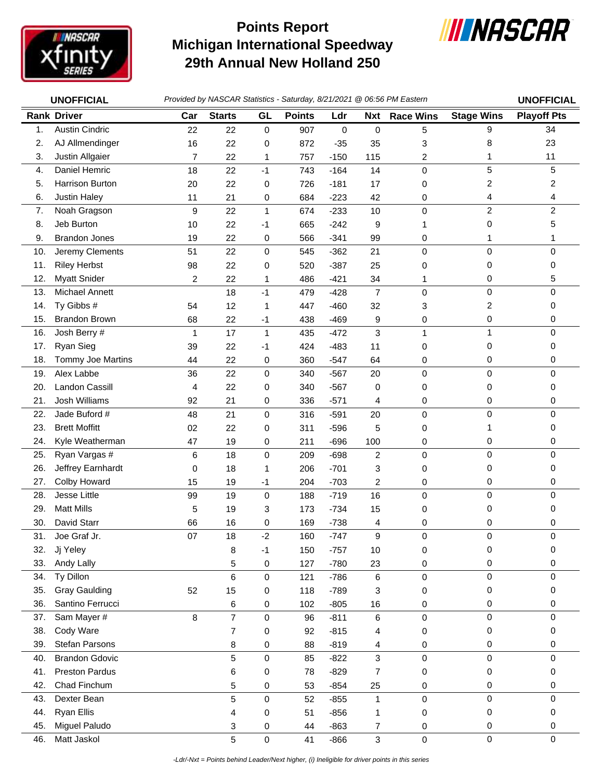

## **Michigan International Speedway 29th Annual New Holland 250 Points Report**



|     | <b>UNOFFICIAL</b>     | Provided by NASCAR Statistics - Saturday, 8/21/2021 @ 06:56 PM Eastern | <b>UNOFFICIAL</b> |                     |               |             |                |                  |                         |                    |
|-----|-----------------------|------------------------------------------------------------------------|-------------------|---------------------|---------------|-------------|----------------|------------------|-------------------------|--------------------|
|     | <b>Rank Driver</b>    | Car                                                                    | <b>Starts</b>     | GL                  | <b>Points</b> | Ldr         | <b>Nxt</b>     | <b>Race Wins</b> | <b>Stage Wins</b>       | <b>Playoff Pts</b> |
| 1.  | <b>Austin Cindric</b> | 22                                                                     | 22                | $\mathsf{O}\xspace$ | 907           | $\mathbf 0$ | $\pmb{0}$      | 5                | 9                       | 34                 |
| 2.  | AJ Allmendinger       | 16                                                                     | 22                | 0                   | 872           | $-35$       | 35             | 3                | 8                       | 23                 |
| 3.  | Justin Allgaier       | 7                                                                      | 22                | 1                   | 757           | $-150$      | 115            | 2                | 1                       | 11                 |
| 4.  | Daniel Hemric         | 18                                                                     | 22                | $-1$                | 743           | $-164$      | 14             | 0                | 5                       | 5                  |
| 5.  | Harrison Burton       | 20                                                                     | 22                | 0                   | 726           | $-181$      | 17             | 0                | $\overline{c}$          | 2                  |
| 6.  | <b>Justin Haley</b>   | 11                                                                     | 21                | 0                   | 684           | $-223$      | 42             | 0                | 4                       | 4                  |
| 7.  | Noah Gragson          | 9                                                                      | 22                | $\mathbf 1$         | 674           | $-233$      | 10             | 0                | $\overline{c}$          | $\overline{c}$     |
| 8.  | Jeb Burton            | 10                                                                     | 22                | $-1$                | 665           | $-242$      | 9              | 1                | 0                       | 5                  |
| 9.  | <b>Brandon Jones</b>  | 19                                                                     | 22                | 0                   | 566           | $-341$      | 99             | 0                | 1                       |                    |
| 10. | Jeremy Clements       | 51                                                                     | 22                | 0                   | 545           | $-362$      | 21             | 0                | $\mathbf 0$             | 0                  |
| 11. | <b>Riley Herbst</b>   | 98                                                                     | 22                | 0                   | 520           | $-387$      | 25             | 0                | 0                       | 0                  |
| 12. | <b>Myatt Snider</b>   | 2                                                                      | 22                | 1                   | 486           | $-421$      | 34             | 1                | 0                       | 5                  |
| 13. | Michael Annett        |                                                                        | 18                | $-1$                | 479           | $-428$      | $\overline{7}$ | 0                | 0                       | 0                  |
| 14. | Ty Gibbs #            | 54                                                                     | 12                | $\mathbf 1$         | 447           | $-460$      | 32             | 3                | $\overline{\mathbf{c}}$ | 0                  |
| 15. | <b>Brandon Brown</b>  | 68                                                                     | 22                | $-1$                | 438           | $-469$      | 9              | 0                | 0                       | 0                  |
| 16. | Josh Berry #          | 1                                                                      | 17                | $\mathbf{1}$        | 435           | $-472$      | 3              | $\mathbf{1}$     | $\mathbf{1}$            | 0                  |
| 17. | Ryan Sieg             | 39                                                                     | 22                | -1                  | 424           | $-483$      | 11             | 0                | 0                       | 0                  |
| 18. | Tommy Joe Martins     | 44                                                                     | 22                | 0                   | 360           | $-547$      | 64             | 0                | 0                       | 0                  |
| 19. | Alex Labbe            | 36                                                                     | 22                | 0                   | 340           | $-567$      | 20             | 0                | 0                       | 0                  |
| 20. | Landon Cassill        | 4                                                                      | 22                | 0                   | 340           | $-567$      | 0              | 0                | 0                       | 0                  |
| 21. | <b>Josh Williams</b>  | 92                                                                     | 21                | 0                   | 336           | $-571$      | 4              | 0                | 0                       | 0                  |
| 22. | Jade Buford #         | 48                                                                     | 21                | $\pmb{0}$           | 316           | $-591$      | 20             | 0                | 0                       | 0                  |
| 23. | <b>Brett Moffitt</b>  | 02                                                                     | 22                | 0                   | 311           | $-596$      | 5              | 0                | 1                       | 0                  |
| 24. | Kyle Weatherman       | 47                                                                     | 19                | 0                   | 211           | $-696$      | 100            | 0                | 0                       | 0                  |
| 25. | Ryan Vargas #         | 6                                                                      | 18                | $\pmb{0}$           | 209           | $-698$      | $\overline{c}$ | 0                | 0                       | 0                  |
| 26. | Jeffrey Earnhardt     | 0                                                                      | 18                | 1                   | 206           | $-701$      | 3              | 0                | 0                       | 0                  |
| 27. | Colby Howard          | 15                                                                     | 19                | $-1$                | 204           | $-703$      | 2              | 0                | 0                       | 0                  |
| 28. | Jesse Little          | 99                                                                     | 19                | $\pmb{0}$           | 188           | $-719$      | 16             | 0                | 0                       | 0                  |
| 29. | <b>Matt Mills</b>     | 5                                                                      | 19                | 3                   | 173           | $-734$      | 15             | 0                | 0                       | 0                  |
| 30. | David Starr           | 66                                                                     | 16                | 0                   | 169           | $-738$      | 4              | 0                | 0                       | 0                  |
| 31. | Joe Graf Jr.          | 07                                                                     | 18                | $-2$                | 160           | $-747$      | 9              | 0                | 0                       | 0                  |
| 32. | Jj Yeley              |                                                                        | 8                 | $-1$                | 150           | $-757$      | 10             | 0                | 0                       | 0                  |
| 33. | Andy Lally            |                                                                        | 5                 | 0                   | 127           | $-780$      | 23             | 0                | 0                       | 0                  |
| 34. | Ty Dillon             |                                                                        | 6                 | 0                   | 121           | $-786$      | 6              | 0                | $\mathbf 0$             | 0                  |
| 35. | <b>Gray Gaulding</b>  | 52                                                                     | 15                | 0                   | 118           | $-789$      | 3              | 0                | 0                       | 0                  |
| 36. | Santino Ferrucci      |                                                                        | 6                 | 0                   | 102           | $-805$      | 16             | 0                | 0                       | 0                  |
| 37. | Sam Mayer #           | 8                                                                      | $\overline{7}$    | $\pmb{0}$           | 96            | $-811$      | 6              | 0                | 0                       | 0                  |
| 38. | Cody Ware             |                                                                        | $\overline{7}$    | 0                   | 92            | $-815$      | 4              | 0                | 0                       | 0                  |
| 39. | Stefan Parsons        |                                                                        | 8                 | 0                   | 88            | $-819$      | 4              | 0                | 0                       | 0                  |
| 40. | <b>Brandon Gdovic</b> |                                                                        | 5                 | 0                   | 85            | $-822$      | 3              | 0                | $\mathsf{O}\xspace$     | 0                  |
| 41. | <b>Preston Pardus</b> |                                                                        | 6                 | 0                   | 78            | $-829$      | 7              | 0                | 0                       | 0                  |
| 42. | Chad Finchum          |                                                                        | 5                 | 0                   | 53            | $-854$      | 25             | 0                | 0                       | 0                  |
| 43. | Dexter Bean           |                                                                        | 5                 | 0                   | 52            | $-855$      | 1              | 0                | $\pmb{0}$               | 0                  |
| 44. | <b>Ryan Ellis</b>     |                                                                        | 4                 | 0                   | 51            | $-856$      | 1              | 0                | 0                       | 0                  |
| 45. | Miguel Paludo         |                                                                        | 3                 | 0                   | 44            | $-863$      | 7              | 0                | $\mathbf 0$             | 0                  |
| 46. | Matt Jaskol           |                                                                        | 5                 | 0                   | 41            | $-866$      | 3              | 0                | $\pmb{0}$               | 0                  |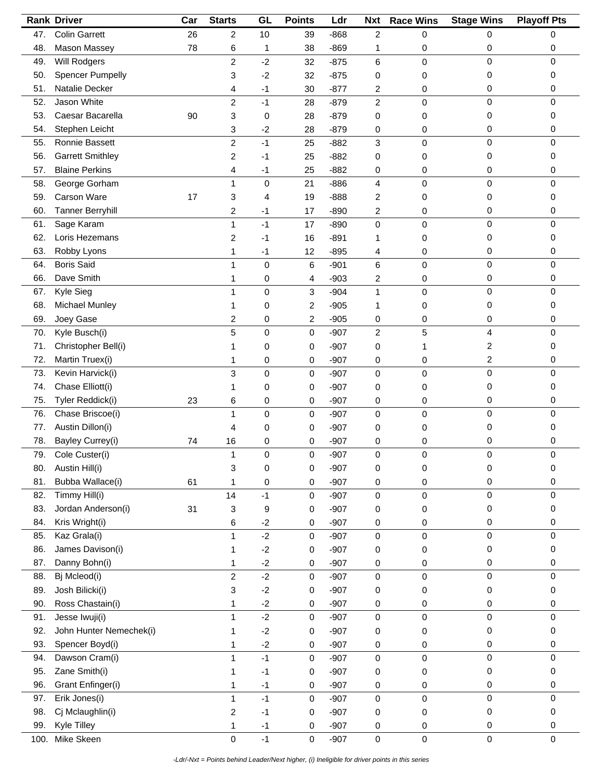|      | <b>Rank Driver</b>      | Car | <b>Starts</b>  | GL          | <b>Points</b>       | Ldr    | <b>Nxt</b>     | <b>Race Wins</b> | <b>Stage Wins</b> | <b>Playoff Pts</b>  |
|------|-------------------------|-----|----------------|-------------|---------------------|--------|----------------|------------------|-------------------|---------------------|
| 47.  | <b>Colin Garrett</b>    | 26  | 2              | 10          | 39                  | $-868$ | $\overline{c}$ | 0                | 0                 | 0                   |
| 48.  | Mason Massey            | 78  | 6              | 1           | 38                  | $-869$ | 1              | 0                | 0                 | 0                   |
| 49.  | <b>Will Rodgers</b>     |     | 2              | $-2$        | 32                  | $-875$ | 6              | 0                | 0                 | $\mathbf 0$         |
| 50.  | Spencer Pumpelly        |     | 3              | $-2$        | 32                  | $-875$ | 0              | 0                | 0                 | 0                   |
| 51.  | Natalie Decker          |     | 4              | $-1$        | 30                  | $-877$ | 2              | 0                | 0                 | 0                   |
| 52.  | Jason White             |     | $\overline{c}$ | $-1$        | 28                  | $-879$ | $\overline{c}$ | 0                | 0                 | $\mathbf 0$         |
| 53.  | Caesar Bacarella        | 90  | 3              | 0           | 28                  | $-879$ | 0              | 0                | 0                 | 0                   |
| 54.  | Stephen Leicht          |     | 3              | $-2$        | 28                  | $-879$ | 0              | 0                | 0                 | 0                   |
| 55.  | Ronnie Bassett          |     | $\overline{c}$ | $-1$        | 25                  | $-882$ | 3              | 0                | 0                 | 0                   |
| 56.  | <b>Garrett Smithley</b> |     | 2              | -1          | 25                  | $-882$ | 0              | 0                | 0                 | 0                   |
| 57.  | <b>Blaine Perkins</b>   |     | 4              | $-1$        | 25                  | $-882$ | 0              | 0                | 0                 | 0                   |
| 58.  | George Gorham           |     | $\mathbf{1}$   | $\mathbf 0$ | 21                  | $-886$ | 4              | 0                | 0                 | 0                   |
| 59.  | Carson Ware             | 17  | 3              | 4           | 19                  | $-888$ | 2              | 0                | 0                 | 0                   |
| 60.  | <b>Tanner Berryhill</b> |     | 2              | -1          | 17                  | $-890$ | 2              | 0                | 0                 | 0                   |
| 61.  | Sage Karam              |     | 1              | $-1$        | 17                  | $-890$ | 0              | 0                | 0                 | 0                   |
| 62.  | Loris Hezemans          |     | 2              | -1          | 16                  | $-891$ | 1              | 0                | 0                 | 0                   |
| 63.  | Robby Lyons             |     | 1              | -1          | 12                  | $-895$ | 4              |                  | 0                 | 0                   |
| 64.  | <b>Boris Said</b>       |     | 1              | $\mathbf 0$ |                     |        | 6              | 0                | 0                 | 0                   |
|      | Dave Smith              |     |                |             | 6                   | $-901$ |                | 0                |                   |                     |
| 66.  |                         |     | 1              | 0           | 4                   | $-903$ | 2              | 0                | 0                 | 0                   |
| 67.  | Kyle Sieg               |     | 1              | 0           | 3                   | $-904$ | 1              | 0                | 0                 | $\Omega$            |
| 68.  | Michael Munley          |     | 1              | 0           | 2                   | $-905$ | 1              | 0                | 0                 | 0                   |
| 69.  | Joey Gase               |     | 2              | 0           | 2                   | $-905$ | 0              | 0                | 0                 | 0                   |
| 70.  | Kyle Busch(i)           |     | 5              | 0           | 0                   | $-907$ | 2              | 5                | 4                 | 0                   |
| 71.  | Christopher Bell(i)     |     |                | 0           | 0                   | $-907$ | 0              |                  | 2                 | 0                   |
| 72.  | Martin Truex(i)         |     | 1              | 0           | 0                   | $-907$ | 0              | 0                | 2                 | 0                   |
| 73.  | Kevin Harvick(i)        |     | 3              | $\pmb{0}$   | 0                   | $-907$ | 0              | 0                | $\mathbf 0$       | 0                   |
| 74.  | Chase Elliott(i)        |     | 1              | 0           | 0                   | $-907$ | 0              | 0                | 0                 | 0                   |
| 75.  | Tyler Reddick(i)        | 23  | 6              | 0           | 0                   | $-907$ | 0              | 0                | 0                 | 0                   |
| 76.  | Chase Briscoe(i)        |     | 1              | $\mathbf 0$ | 0                   | $-907$ | 0              | 0                | 0                 | 0                   |
| 77.  | Austin Dillon(i)        |     | 4              | 0           | 0                   | $-907$ | 0              | 0                | 0                 | 0                   |
| 78.  | Bayley Currey(i)        | 74  | 16             | 0           | 0                   | $-907$ | 0              | 0                | 0                 | 0                   |
| 79.  | Cole Custer(i)          |     | $\mathbf{1}$   | $\mathbf 0$ | 0                   | $-907$ | 0              | 0                | $\mathbf 0$       | $\Omega$            |
| 80.  | Austin Hill(i)          |     | 3              | $\pmb{0}$   | 0                   | $-907$ | 0              | 0                | 0                 | 0                   |
| 81.  | Bubba Wallace(i)        | 61  | 1              | $\pmb{0}$   | 0                   | $-907$ | 0              | 0                | 0                 | 0                   |
| 82.  | Timmy Hill(i)           |     | 14             | $-1$        | 0                   | $-907$ | $\mathsf 0$    | 0                | $\pmb{0}$         | 0                   |
| 83.  | Jordan Anderson(i)      | 31  | 3              | 9           | 0                   | $-907$ | 0              | 0                | 0                 | 0                   |
| 84.  | Kris Wright(i)          |     | 6              | $-2$        | 0                   | $-907$ | 0              | 0                | 0                 | 0                   |
| 85.  | Kaz Grala(i)            |     | 1              | $-2$        | $\mathsf{O}\xspace$ | $-907$ | 0              | 0                | 0                 | $\mathbf 0$         |
| 86.  | James Davison(i)        |     | 1              | $-2$        | 0                   | $-907$ | 0              | 0                | 0                 | 0                   |
| 87.  | Danny Bohn(i)           |     | 1              | $-2$        | 0                   | $-907$ | 0              | 0                | 0                 | 0                   |
| 88.  | Bj Mcleod(i)            |     | $\overline{c}$ | $-2$        | 0                   | $-907$ | 0              | 0                | $\pmb{0}$         | $\mathbf 0$         |
| 89.  | Josh Bilicki(i)         |     | 3              | $-2$        | 0                   | $-907$ | 0              | 0                | 0                 | 0                   |
| 90.  | Ross Chastain(i)        |     | 1              | $-2$        | 0                   | $-907$ | 0              | 0                | 0                 | 0                   |
| 91.  | Jesse Iwuji(i)          |     | $\mathbf{1}$   | $-2$        | 0                   | $-907$ | 0              | 0                | 0                 | $\mathbf 0$         |
| 92.  | John Hunter Nemechek(i) |     | 1              | $-2$        | 0                   | $-907$ | 0              | 0                | 0                 | 0                   |
| 93.  | Spencer Boyd(i)         |     | 1              | $-2$        | 0                   | $-907$ | 0              | 0                | 0                 | 0                   |
| 94.  | Dawson Cram(i)          |     | 1              | $-1$        | 0                   | $-907$ | 0              | 0                | 0                 | $\mathbf 0$         |
| 95.  | Zane Smith(i)           |     | 1              | $-1$        | 0                   | $-907$ | 0              | 0                | 0                 | 0                   |
| 96.  | Grant Enfinger(i)       |     | 1              | $-1$        | 0                   | $-907$ | 0              | 0                | 0                 | 0                   |
| 97.  | Erik Jones(i)           |     | 1              | $-1$        | 0                   | $-907$ | 0              | 0                | $\mathbf 0$       | $\mathbf 0$         |
| 98.  | Cj Mclaughlin(i)        |     | 2              | $-1$        | 0                   | $-907$ | 0              | 0                | 0                 | 0                   |
| 99.  | Kyle Tilley             |     | 1              | $-1$        | 0                   | $-907$ | 0              | 0                | 0                 | 0                   |
| 100. | Mike Skeen              |     | 0              | $-1$        | 0                   | $-907$ | 0              | 0                | $\mathbf 0$       | $\mathsf{O}\xspace$ |